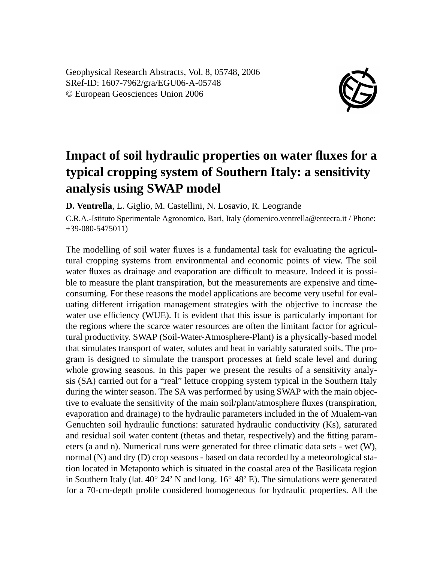Geophysical Research Abstracts, Vol. 8, 05748, 2006 SRef-ID: 1607-7962/gra/EGU06-A-05748 © European Geosciences Union 2006



## **Impact of soil hydraulic properties on water fluxes for a typical cropping system of Southern Italy: a sensitivity analysis using SWAP model**

**D. Ventrella**, L. Giglio, M. Castellini, N. Losavio, R. Leogrande

C.R.A.-Istituto Sperimentale Agronomico, Bari, Italy (domenico.ventrella@entecra.it / Phone: +39-080-5475011)

The modelling of soil water fluxes is a fundamental task for evaluating the agricultural cropping systems from environmental and economic points of view. The soil water fluxes as drainage and evaporation are difficult to measure. Indeed it is possible to measure the plant transpiration, but the measurements are expensive and timeconsuming. For these reasons the model applications are become very useful for evaluating different irrigation management strategies with the objective to increase the water use efficiency (WUE). It is evident that this issue is particularly important for the regions where the scarce water resources are often the limitant factor for agricultural productivity. SWAP (Soil-Water-Atmosphere-Plant) is a physically-based model that simulates transport of water, solutes and heat in variably saturated soils. The program is designed to simulate the transport processes at field scale level and during whole growing seasons. In this paper we present the results of a sensitivity analysis (SA) carried out for a "real" lettuce cropping system typical in the Southern Italy during the winter season. The SA was performed by using SWAP with the main objective to evaluate the sensitivity of the main soil/plant/atmosphere fluxes (transpiration, evaporation and drainage) to the hydraulic parameters included in the of Mualem-van Genuchten soil hydraulic functions: saturated hydraulic conductivity (Ks), saturated and residual soil water content (thetas and thetar, respectively) and the fitting parameters (a and n). Numerical runs were generated for three climatic data sets - wet (W), normal (N) and dry (D) crop seasons - based on data recorded by a meteorological station located in Metaponto which is situated in the coastal area of the Basilicata region in Southern Italy (lat.  $40° 24'$  N and long.  $16° 48'$  E). The simulations were generated for a 70-cm-depth profile considered homogeneous for hydraulic properties. All the